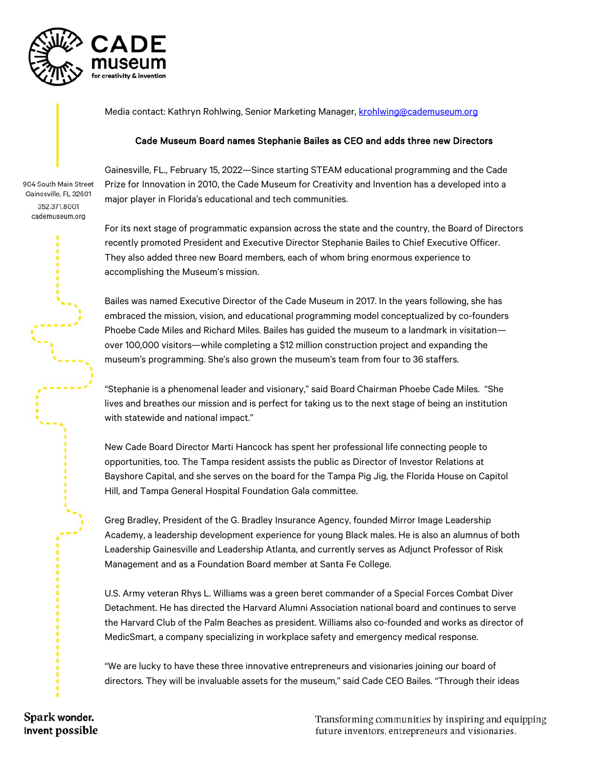

Media contact: Kathryn Rohlwing, Senior Marketing Manager, [krohlwing@cademuseum.org](mailto:krohlwing@cademuseum.org)

## Cade Museum Board names Stephanie Bailes as CEO and adds three new Directors

904 South Main Street Gainesville, FL 32601 352.371.8001 cademuseum.org

Gainesville, FL., February 15, 2022—Since starting STEAM educational programming and the Cade Prize for Innovation in 2010, the Cade Museum for Creativity and Invention has a developed into a major player in Florida's educational and tech communities.

For its next stage of programmatic expansion across the state and the country, the Board of Directors recently promoted President and Executive Director Stephanie Bailes to Chief Executive Officer. They also added three new Board members, each of whom bring enormous experience to accomplishing the Museum's mission.

Bailes was named Executive Director of the Cade Museum in 2017. In the years following, she has embraced the mission, vision, and educational programming model conceptualized by co-founders Phoebe Cade Miles and Richard Miles. Bailes has guided the museum to a landmark in visitation over 100,000 visitors—while completing a \$12 million construction project and expanding the museum's programming. She's also grown the museum's team from four to 36 staffers.

"Stephanie is a phenomenal leader and visionary," said Board Chairman Phoebe Cade Miles. "She lives and breathes our mission and is perfect for taking us to the next stage of being an institution with statewide and national impact."

New Cade Board Director Marti Hancock has spent her professional life connecting people to opportunities, too. The Tampa resident assists the public as Director of Investor Relations at Bayshore Capital, and she serves on the board for the Tampa Pig Jig, the Florida House on Capitol Hill, and Tampa General Hospital Foundation Gala committee.

Greg Bradley, President of the G. Bradley Insurance Agency, founded Mirror Image Leadership Academy, a leadership development experience for young Black males. He is also an alumnus of both Leadership Gainesville and Leadership Atlanta, and currently serves as Adjunct Professor of Risk Management and as a Foundation Board member at Santa Fe College.

U.S. Army veteran Rhys L. Williams was a green beret commander of a Special Forces Combat Diver Detachment. He has directed the Harvard Alumni Association national board and continues to serve the Harvard Club of the Palm Beaches as president. Williams also co-founded and works as director of MedicSmart, a company specializing in workplace safety and emergency medical response.

"We are lucky to have these three innovative entrepreneurs and visionaries joining our board of directors. They will be invaluable assets for the museum," said Cade CEO Bailes. "Through their ideas

Transforming communities by inspiring and equipping future inventors, entrepreneurs and visionaries.